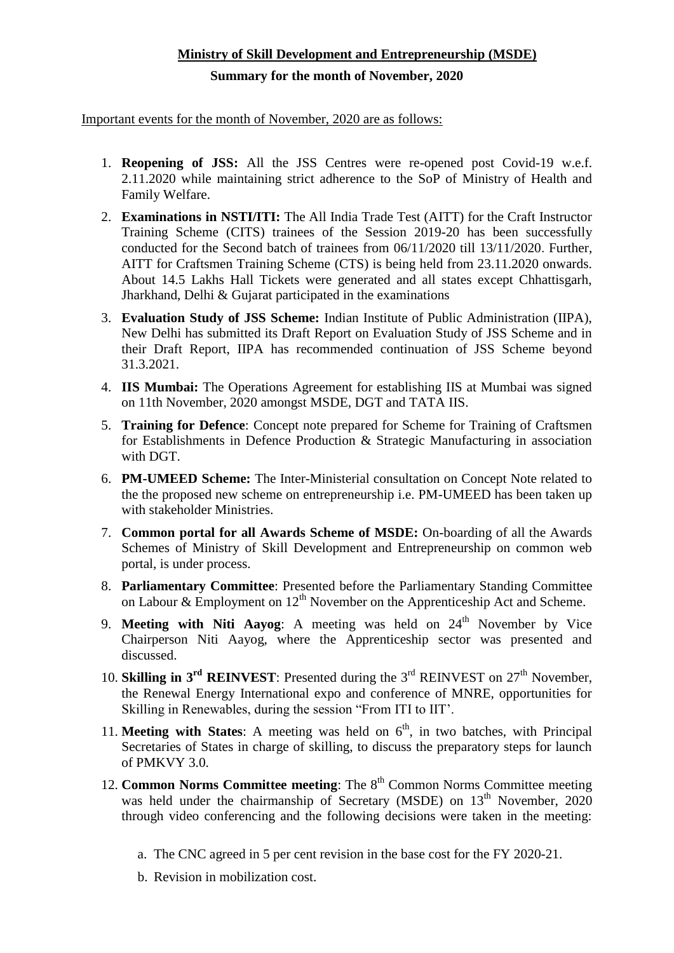## **Ministry of Skill Development and Entrepreneurship (MSDE)**

## **Summary for the month of November, 2020**

Important events for the month of November, 2020 are as follows:

- 1. **Reopening of JSS:** All the JSS Centres were re-opened post Covid-19 w.e.f. 2.11.2020 while maintaining strict adherence to the SoP of Ministry of Health and Family Welfare.
- 2. **Examinations in NSTI/ITI:** The All India Trade Test (AITT) for the Craft Instructor Training Scheme (CITS) trainees of the Session 2019-20 has been successfully conducted for the Second batch of trainees from 06/11/2020 till 13/11/2020. Further, AITT for Craftsmen Training Scheme (CTS) is being held from 23.11.2020 onwards. About 14.5 Lakhs Hall Tickets were generated and all states except Chhattisgarh, Jharkhand, Delhi & Gujarat participated in the examinations
- 3. **Evaluation Study of JSS Scheme:** Indian Institute of Public Administration (IIPA), New Delhi has submitted its Draft Report on Evaluation Study of JSS Scheme and in their Draft Report, IIPA has recommended continuation of JSS Scheme beyond 31.3.2021.
- 4. **IIS Mumbai:** The Operations Agreement for establishing IIS at Mumbai was signed on 11th November, 2020 amongst MSDE, DGT and TATA IIS.
- 5. **Training for Defence**: Concept note prepared for Scheme for Training of Craftsmen for Establishments in Defence Production & Strategic Manufacturing in association with DGT.
- 6. **PM-UMEED Scheme:** The Inter-Ministerial consultation on Concept Note related to the the proposed new scheme on entrepreneurship i.e. PM-UMEED has been taken up with stakeholder Ministries.
- 7. **Common portal for all Awards Scheme of MSDE:** On-boarding of all the Awards Schemes of Ministry of Skill Development and Entrepreneurship on common web portal, is under process.
- 8. **Parliamentary Committee**: Presented before the Parliamentary Standing Committee on Labour  $\&$  Employment on  $12<sup>th</sup>$  November on the Apprenticeship Act and Scheme.
- 9. **Meeting with Niti Aayog**: A meeting was held on 24<sup>th</sup> November by Vice Chairperson Niti Aayog, where the Apprenticeship sector was presented and discussed.
- 10. **Skilling in**  $3^{rd}$  **REINVEST**: Presented during the  $3^{rd}$  REINVEST on  $27^{th}$  November, the Renewal Energy International expo and conference of MNRE, opportunities for Skilling in Renewables, during the session "From ITI to IIT'.
- 11. **Meeting with States**: A meeting was held on  $6<sup>th</sup>$ , in two batches, with Principal Secretaries of States in charge of skilling, to discuss the preparatory steps for launch of PMKVY 3.0.
- 12. **Common Norms Committee meeting**: The 8<sup>th</sup> Common Norms Committee meeting was held under the chairmanship of Secretary (MSDE) on  $13<sup>th</sup>$  November, 2020 through video conferencing and the following decisions were taken in the meeting:
	- a. The CNC agreed in 5 per cent revision in the base cost for the FY 2020-21.
	- b. Revision in mobilization cost.